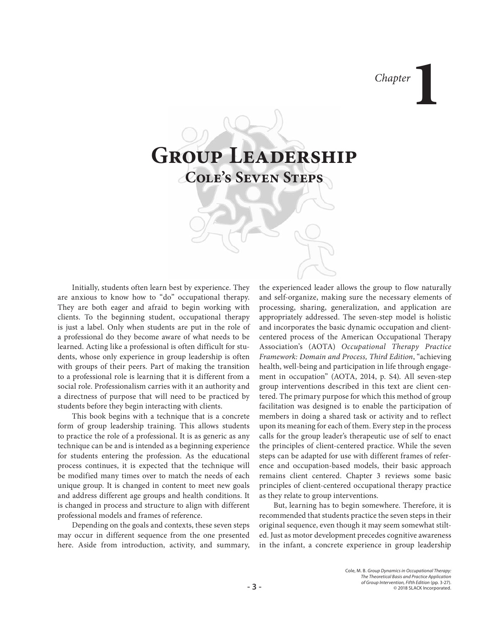**1** *Chapter*

# **Group Leadership Cole's Seven Steps**

Initially, students often learn best by experience. They are anxious to know how to "do" occupational therapy. They are both eager and afraid to begin working with clients. To the beginning student, occupational therapy is just a label. Only when students are put in the role of a professional do they become aware of what needs to be learned. Acting like a professional is often difficult for students, whose only experience in group leadership is often with groups of their peers. Part of making the transition to a professional role is learning that it is different from a social role. Professionalism carries with it an authority and a directness of purpose that will need to be practiced by students before they begin interacting with clients.

This book begins with a technique that is a concrete form of group leadership training. This allows students to practice the role of a professional. It is as generic as any technique can be and is intended as a beginning experience for students entering the profession. As the educational process continues, it is expected that the technique will be modified many times over to match the needs of each unique group. It is changed in content to meet new goals and address different age groups and health conditions. It is changed in process and structure to align with different professional models and frames of reference.

Depending on the goals and contexts, these seven steps may occur in different sequence from the one presented here. Aside from introduction, activity, and summary, the experienced leader allows the group to flow naturally and self-organize, making sure the necessary elements of processing, sharing, generalization, and application are appropriately addressed. The seven-step model is holistic and incorporates the basic dynamic occupation and clientcentered process of the American Occupational Therapy Association's (AOTA) *Occupational Therapy Practice Framework: Domain and Process, Third Edition*, "achieving health, well-being and participation in life through engagement in occupation" (AOTA, 2014, p. S4). All seven-step group interventions described in this text are client centered. The primary purpose for which this method of group facilitation was designed is to enable the participation of members in doing a shared task or activity and to reflect upon its meaning for each of them. Every step in the process calls for the group leader's therapeutic use of self to enact the principles of client-centered practice. While the seven steps can be adapted for use with different frames of reference and occupation-based models, their basic approach remains client centered. Chapter 3 reviews some basic principles of client-centered occupational therapy practice as they relate to group interventions.

But, learning has to begin somewhere. Therefore, it is recommended that students practice the seven steps in their original sequence, even though it may seem somewhat stilted. Just as motor development precedes cognitive awareness in the infant, a concrete experience in group leadership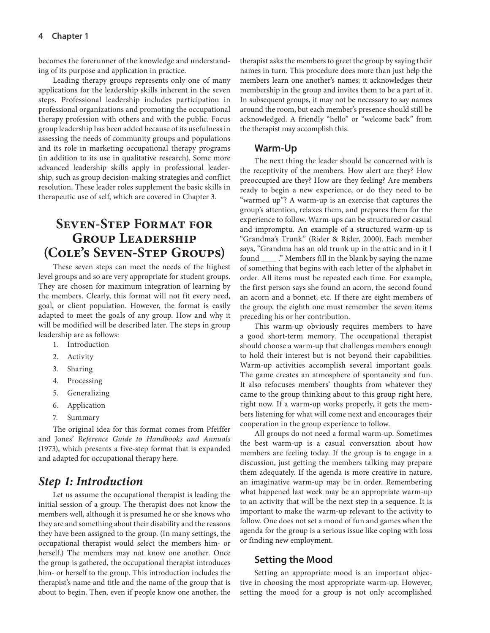becomes the forerunner of the knowledge and understanding of its purpose and application in practice.

Leading therapy groups represents only one of many applications for the leadership skills inherent in the seven steps. Professional leadership includes participation in professional organizations and promoting the occupational therapy profession with others and with the public. Focus group leadership has been added because of its usefulness in assessing the needs of community groups and populations and its role in marketing occupational therapy programs (in addition to its use in qualitative research). Some more advanced leadership skills apply in professional leadership, such as group decision-making strategies and conflict resolution. These leader roles supplement the basic skills in therapeutic use of self, which are covered in Chapter 3.

## **Seven-Step Format for Group Leadership (Cole's Seven-Step Groups)**

These seven steps can meet the needs of the highest level groups and so are very appropriate for student groups. They are chosen for maximum integration of learning by the members. Clearly, this format will not fit every need, goal, or client population. However, the format is easily adapted to meet the goals of any group. How and why it will be modified will be described later. The steps in group leadership are as follows:

- 1. Introduction
- 2. Activity
- 3. Sharing
- 4. Processing
- 5. Generalizing
- 6. Application
- 7. Summary

The original idea for this format comes from Pfeiffer and Jones' *Reference Guide to Handbooks and Annuals*  (1973), which presents a five-step format that is expanded and adapted for occupational therapy here.

### *Step 1: Introduction*

Let us assume the occupational therapist is leading the initial session of a group. The therapist does not know the members well, although it is presumed he or she knows who they are and something about their disability and the reasons they have been assigned to the group. (In many settings, the occupational therapist would select the members him- or herself.) The members may not know one another. Once the group is gathered, the occupational therapist introduces him- or herself to the group. This introduction includes the therapist's name and title and the name of the group that is about to begin. Then, even if people know one another, the therapist asks the members to greet the group by saying their names in turn. This procedure does more than just help the members learn one another's names; it acknowledges their membership in the group and invites them to be a part of it. In subsequent groups, it may not be necessary to say names around the room, but each member's presence should still be acknowledged. A friendly "hello" or "welcome back" from the therapist may accomplish this.

#### **Warm-Up**

The next thing the leader should be concerned with is the receptivity of the members. How alert are they? How preoccupied are they? How are they feeling? Are members ready to begin a new experience, or do they need to be "warmed up"? A warm-up is an exercise that captures the group's attention, relaxes them, and prepares them for the experience to follow. Warm-ups can be structured or casual and impromptu. An example of a structured warm-up is "Grandma's Trunk" (Rider & Rider, 2000). Each member says, "Grandma has an old trunk up in the attic and in it I found \_\_\_\_\_." Members fill in the blank by saying the name of something that begins with each letter of the alphabet in order. All items must be repeated each time. For example, the first person says she found an acorn, the second found an acorn and a bonnet, etc. If there are eight members of the group, the eighth one must remember the seven items preceding his or her contribution.

This warm-up obviously requires members to have a good short-term memory. The occupational therapist should choose a warm-up that challenges members enough to hold their interest but is not beyond their capabilities. Warm-up activities accomplish several important goals. The game creates an atmosphere of spontaneity and fun. It also refocuses members' thoughts from whatever they came to the group thinking about to this group right here, right now. If a warm-up works properly, it gets the members listening for what will come next and encourages their cooperation in the group experience to follow.

All groups do not need a formal warm-up. Sometimes the best warm-up is a casual conversation about how members are feeling today. If the group is to engage in a discussion, just getting the members talking may prepare them adequately. If the agenda is more creative in nature, an imaginative warm-up may be in order. Remembering what happened last week may be an appropriate warm-up to an activity that will be the next step in a sequence. It is important to make the warm-up relevant to the activity to follow. One does not set a mood of fun and games when the agenda for the group is a serious issue like coping with loss or finding new employment.

#### **Setting the Mood**

Setting an appropriate mood is an important objective in choosing the most appropriate warm-up. However, setting the mood for a group is not only accomplished